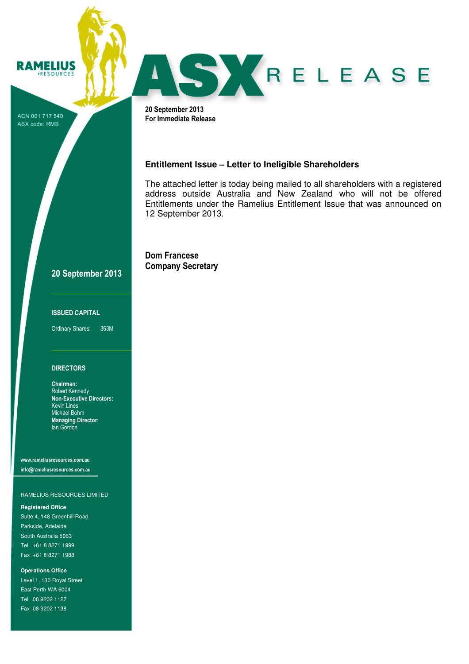ACN 001 717 540 ASX code: RMS

**RAMELIUS** RESOURCES

SKRELEASE

20 September 2013 For Immediate Release

# **Entitlement Issue – Letter to Ineligible Shareholders**

The attached letter is today being mailed to all shareholders with a registered address outside Australia and New Zealand who will not be offered Entitlements under the Ramelius Entitlement Issue that was announced on 12 September 2013.

Dom Francese Company Secretary

# 20 September 2013

### ISSUED CAPITAL

Ordinary Shares: 363M

# **DIRECTORS**

Chairman: Robert Kennedy Non-Executive Directors: Kevin Lines Michael Bohm Managing Director: Ian Gordon

www.rameliusresources.com.au info@rameliusresources.com.au

## RAMELIUS RESOURCES LIMITED

### **Registered Office**

Suite 4, 148 Greenhill Road Parkside, Adelaide South Australia 5063 Tel +61 8 8271 1999 Fax +61 8 8271 1988

**Operations Office**  Level 1, 130 Royal Street East Perth WA 6004 Tel 08 9202 1127 Fax 08 9202 1138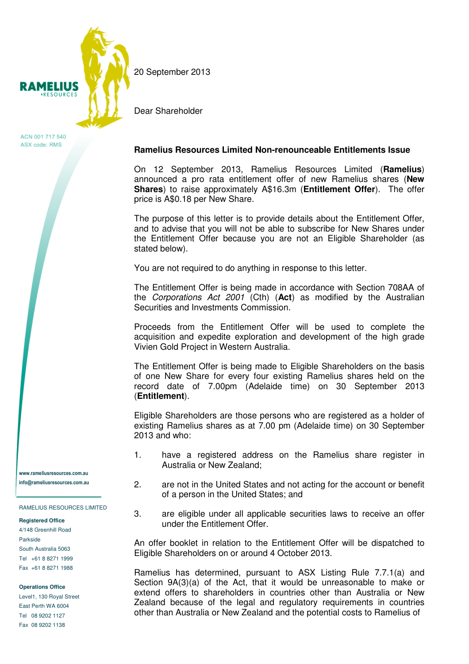

ACN 001 717 540 ASX code: RMS

www.rameliusresources.com.au info@rameliusresources.com.au

RAMELIUS RESOURCES LIMITED

## **Registered Office**

4/148 Greenhill Road Parkside South Australia 5063 Tel +61 8 8271 1999 Fax +61 8 8271 1988

### **Operations Office**

Level1, 130 Royal Street East Perth WA 6004 Tel 08 9202 1127 Fax 08 9202 1138

20 September 2013

Dear Shareholder

# **Ramelius Resources Limited Non-renounceable Entitlements Issue**

On 12 September 2013, Ramelius Resources Limited (**Ramelius**) announced a pro rata entitlement offer of new Ramelius shares (**New Shares**) to raise approximately A\$16.3m (**Entitlement Offer**). The offer price is A\$0.18 per New Share.

The purpose of this letter is to provide details about the Entitlement Offer, and to advise that you will not be able to subscribe for New Shares under the Entitlement Offer because you are not an Eligible Shareholder (as stated below).

You are not required to do anything in response to this letter.

The Entitlement Offer is being made in accordance with Section 708AA of the Corporations Act 2001 (Cth) (**Act**) as modified by the Australian Securities and Investments Commission.

Proceeds from the Entitlement Offer will be used to complete the acquisition and expedite exploration and development of the high grade Vivien Gold Project in Western Australia.

The Entitlement Offer is being made to Eligible Shareholders on the basis of one New Share for every four existing Ramelius shares held on the record date of 7.00pm (Adelaide time) on 30 September 2013 (**Entitlement**).

Eligible Shareholders are those persons who are registered as a holder of existing Ramelius shares as at 7.00 pm (Adelaide time) on 30 September 2013 and who:

- 1. have a registered address on the Ramelius share register in Australia or New Zealand;
- 2. are not in the United States and not acting for the account or benefit of a person in the United States; and
- 3. are eligible under all applicable securities laws to receive an offer under the Entitlement Offer.

An offer booklet in relation to the Entitlement Offer will be dispatched to Eligible Shareholders on or around 4 October 2013.

Ramelius has determined, pursuant to ASX Listing Rule 7.7.1(a) and Section 9A(3)(a) of the Act, that it would be unreasonable to make or extend offers to shareholders in countries other than Australia or New Zealand because of the legal and regulatory requirements in countries other than Australia or New Zealand and the potential costs to Ramelius of